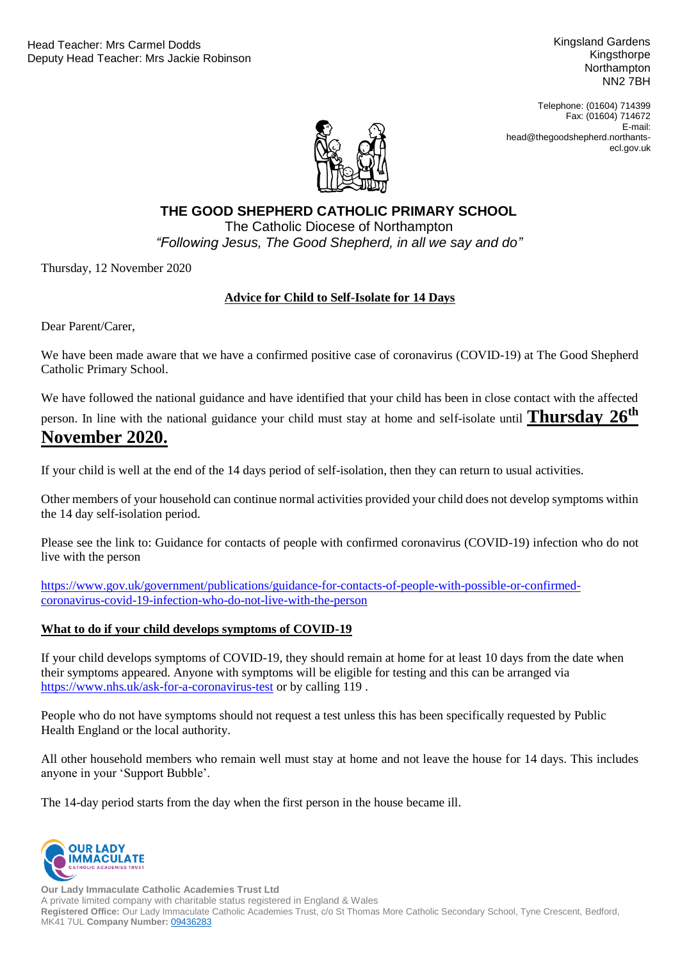Kingsland Gardens Kingsthorpe **Northampton** NN2 7BH

Telephone: (01604) 714399 Fax: (01604) 714672 E-mail: head@thegoodshepherd.northantsecl.gov.uk



## **THE GOOD SHEPHERD CATHOLIC PRIMARY SCHOOL**

"Following Jesus, The Good Shepherd, in all we say and do" The Catholic Diocese of Northampton

Thursday, 12 November 2020

## **Advice for Child to Self-Isolate for 14 Days**

Dear Parent/Carer,

We have been made aware that we have a confirmed positive case of coronavirus (COVID-19) at The Good Shepherd Catholic Primary School.

We have followed the national guidance and have identified that your child has been in close contact with the affected

person. In line with the national guidance your child must stay at home and self-isolate until **Thursday 26th**

# **November 2020.**

If your child is well at the end of the 14 days period of self-isolation, then they can return to usual activities.

Other members of your household can continue normal activities provided your child does not develop symptoms within the 14 day self-isolation period.

Please see the link to: Guidance for contacts of people with confirmed coronavirus (COVID-19) infection who do not live with the person

[https://www.gov.uk/government/publications/guidance-for-contacts-of-people-with-possible-or-confirmed](https://www.gov.uk/government/publications/guidance-for-contacts-of-people-with-possible-or-confirmed-coronavirus-covid-19-infection-who-do-not-live-with-the-person)[coronavirus-covid-19-infection-who-do-not-live-with-the-person](https://www.gov.uk/government/publications/guidance-for-contacts-of-people-with-possible-or-confirmed-coronavirus-covid-19-infection-who-do-not-live-with-the-person)

## **What to do if your child develops symptoms of COVID-19**

If your child develops symptoms of COVID-19, they should remain at home for at least 10 days from the date when their symptoms appeared. Anyone with symptoms will be eligible for testing and this can be arranged via <https://www.nhs.uk/ask-for-a-coronavirus-test> or by calling 119 .

People who do not have symptoms should not request a test unless this has been specifically requested by Public Health England or the local authority.

All other household members who remain well must stay at home and not leave the house for 14 days. This includes anyone in your 'Support Bubble'.

The 14-day period starts from the day when the first person in the house became ill.



**Our Lady Immaculate Catholic Academies Trust Ltd** A private limited company with charitable status registered in England & Wales **Registered Office:** Our Lady Immaculate Catholic Academies Trust, c/o St Thomas More Catholic Secondary School, Tyne Crescent, Bedford, MK41 7UL **Company Number:** [09436283](https://beta.companieshouse.gov.uk/company/09436283)